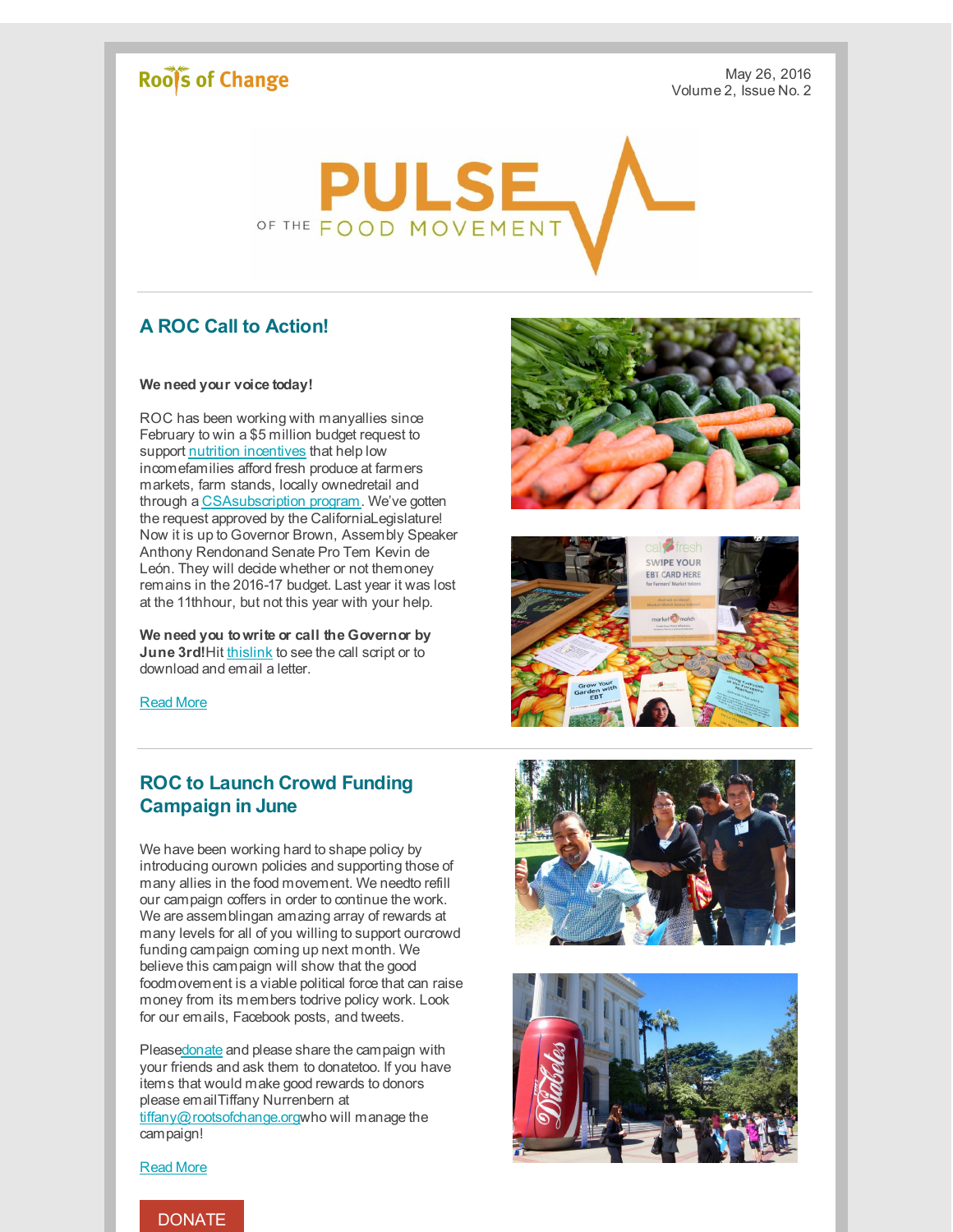# **Roofs of Change**

May 26, 2016 Volume 2, Issue No. 2



### **A ROC Call to Action!**

#### **We need your voice today!**

ROC has been working with manyallies since February to win a \$5 million budget request to support nutrition [incentives](http://r20.rs6.net/tn.jsp?f=001OXZ98PfUagyhEH1-vrLHT0IDENOXDVrDtHKGBBQCGIWP_zVBUX37ElbkVlOSXYOTWhNHhaJ24NRiX8imvcnnuoRIU5HEvo2QXqYI1itT9i3G2j4uLiAJ1dM-Eo7Ns-iYIyX2nqq1aqeTvW2tj4ALDA==&c=&ch=) that help low incomefamilies afford fresh produce at farmers markets, farm stands, locally ownedretail and through a [CSAsubscription](http://r20.rs6.net/tn.jsp?f=001OXZ98PfUagyhEH1-vrLHT0IDENOXDVrDtHKGBBQCGIWP_zVBUX37ElbkVlOSXYOTsnA5QlwBTzJEVTKouyCPXrnboWyAl26T97Ts3jyte1gHbmtY5WVyyWPd_xzE7AUrptUCJnLjRb4FppVgrK5T61HWWPiqxRrTmCTV_Bh_yfWqDxMJeBAhqpUBpC-fkeOLbJLhNRg1vM4=&c=&ch=) program. We've gotten the request approved by the CaliforniaLegislature! Now it is up to Governor Brown, Assembly Speaker Anthony Rendonand Senate Pro Tem Kevin de León. They will decide whether or not themoney remains in the 2016-17 budget. Last year it was lost at the 11thhour, but not this year with your help.

**We need you towrite or call the Governor by June 3rd!**Hit [thislink](http://r20.rs6.net/tn.jsp?f=001OXZ98PfUagyhEH1-vrLHT0IDENOXDVrDtHKGBBQCGIWP_zVBUX37ElbkVlOSXYOTu-tEDv25AAVTG7aW2hO1W_uZzwb8oBBq2efQIEhBXB7p5NTBidBUwcPVHjmQ48E2cEBMtxcpIn9rgycc6PHSemx4qqNmKClChj0iNQfX7SEMM_2rdoMlovsO2XXimQNwJuOQfTTXTGc=&c=&ch=) to see the call script or to download and email a letter.





[Read](http://r20.rs6.net/tn.jsp?f=001OXZ98PfUagyhEH1-vrLHT0IDENOXDVrDtHKGBBQCGIWP_zVBUX37ElbkVlOSXYOT8dooM9H_IbUx0QQ-5NWiQOYBc0mJgoGrS_fU0KtQizQdx8upnnQTnnU0UlUpTGy3Mwc0ypq6Nre-5dMgB1OU78DtRCb6UGZc-2sdjVvL1GKrAZg4ChaEAab2ElR7_but9U2Goid6Y3E=&c=&ch=) More

## **ROC to Launch Crowd Funding Campaign in June**

We have been working hard to shape policy by introducing ourown policies and supporting those of many allies in the food movement. We needto refill our campaign coffers in order to continue the work. We are assemblingan amazing array of rewards at many levels for all of you willing to support ourcrowd funding campaign coming up next month. We believe this campaign will show that the good foodmovement is a viable political force that can raise money from its members todrive policy work. Look for our emails, Facebook posts, and tweets.

Pleas[edonate](http://r20.rs6.net/tn.jsp?f=001OXZ98PfUagyhEH1-vrLHT0IDENOXDVrDtHKGBBQCGIWP_zVBUX37Eh3HKOh7-W-9o7qdfR4OqjKo37LGbcjS3UgOuCAlc37eIPjPIIT2DdiYCxK-rRzidPgeoSD_KnlCwbKFeuh79q1hnVAgQ_OL28x9W7FDtPcbGl5Qa_VY6mweml0VKUnyzOZRcnKiKQGz&c=&ch=) and please share the campaign with your friends and ask them to donatetoo. If you have items that would make good rewards to donors please emailTiffany Nurrenbern at [tiffany@rootsofchange.org](mailto:tiffany@rootsofchange.org)who will manage the campaign!





[Read](http://r20.rs6.net/tn.jsp?f=001OXZ98PfUagyhEH1-vrLHT0IDENOXDVrDtHKGBBQCGIWP_zVBUX37ElbkVlOSXYOT8dooM9H_IbUx0QQ-5NWiQOYBc0mJgoGrS_fU0KtQizQdx8upnnQTnnU0UlUpTGy3Mwc0ypq6Nre-5dMgB1OU78DtRCb6UGZc-2sdjVvL1GKrAZg4ChaEAab2ElR7_but9U2Goid6Y3E=&c=&ch=) More

### [DONATE](http://r20.rs6.net/tn.jsp?f=001OXZ98PfUagyhEH1-vrLHT0IDENOXDVrDtHKGBBQCGIWP_zVBUX37Eh3HKOh7-W-9o7qdfR4OqjKo37LGbcjS3UgOuCAlc37eIPjPIIT2DdiYCxK-rRzidPgeoSD_KnlCwbKFeuh79q1hnVAgQ_OL28x9W7FDtPcbGl5Qa_VY6mweml0VKUnyzOZRcnKiKQGz&c=&ch=)